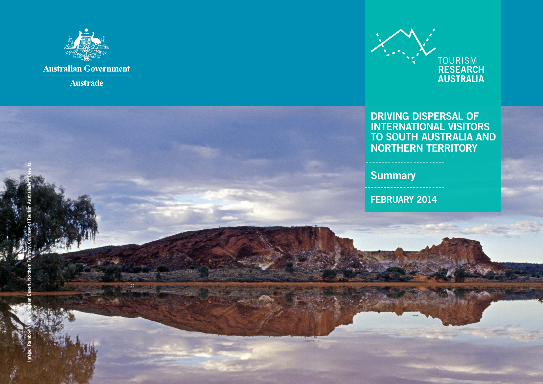



## DRIVING DISPERSAL OF INTERNATIONAL VISITORS TO SOUTH AUSTRALIA AND NORTHERN TERRITORY

**Summary** 

FEBRUARY 2014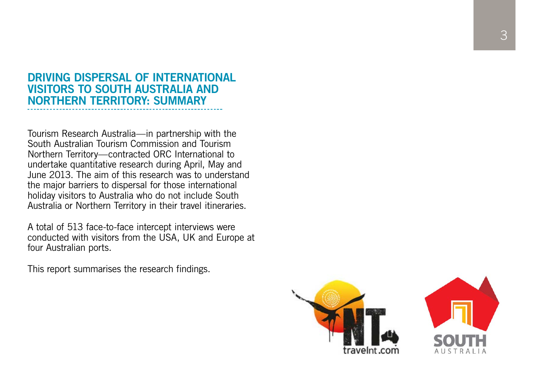# DRIVING DISPERSAL OF INTERNATIONAL VISITORS TO SOUTH AUSTRALIA AND NORTHERN TERRITORY: SUMMARY

Tourism Research Australia—in partnership with the South Australian Tourism Commission and Tourism Northern Territory—contracted ORC International to undertake quantitative research during April, May and June 2013. The aim of this research was to understand the major barriers to dispersal for those international holiday visitors to Australia who do not include South Australia or Northern Territory in their travel itineraries.

A total of 513 face-to-face intercept interviews were conducted with visitors from the USA, UK and Europe at four Australian ports.

This report summarises the research findings.



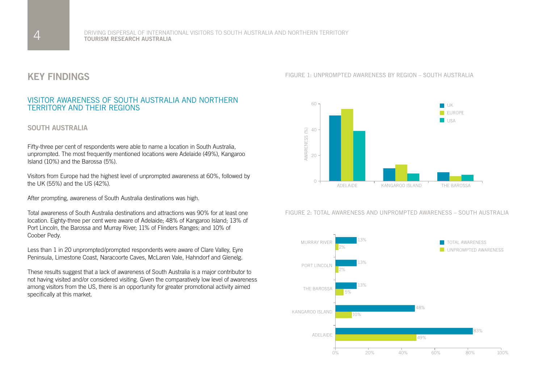## KEY FINDINGS

## VISITOR AWARENESS OF SOUTH AUSTRALIA AND NORTHERN TERRITORY AND THEIR REGIONS

## SOUTH AUSTRALIA

Fifty-three per cent of respondents were able to name a location in South Australia, unprompted. The most frequently mentioned locations were Adelaide (49%), Kangaroo Island (10%) and the Barossa (5%).

Visitors from Europe had the highest level of unprompted awareness at 60%, followed by the UK (55%) and the US (42%).

After prompting, awareness of South Australia destinations was high.

Total awareness of South Australia destinations and attractions was 90% for at least one location. Eighty-three per cent were aware of Adelaide; 48% of Kangaroo Island; 13% of Port Lincoln, the Barossa and Murray River; 11% of Flinders Ranges; and 10% of Coober Pedy.

Less than 1 in 20 unprompted/prompted respondents were aware of Clare Valley, Eyre Peninsula, Limestone Coast, Naracoorte Caves, McLaren Vale, Hahndorf and Glenelg.

These results suggest that a lack of awareness of South Australia is a major contributor to not having visited and/or considered visiting. Given the comparatively low level of awareness among visitors from the US, there is an opportunity for greater promotional activity aimed specifically at this market.

FIGURE 1: UNPROMPTED AWARENESS BY REGION – SOUTH AUSTRALIA



FIGURE 2: TOTAL AWARENESS AND UNPROMPTED AWARENESS – SOUTH AUSTRALIA

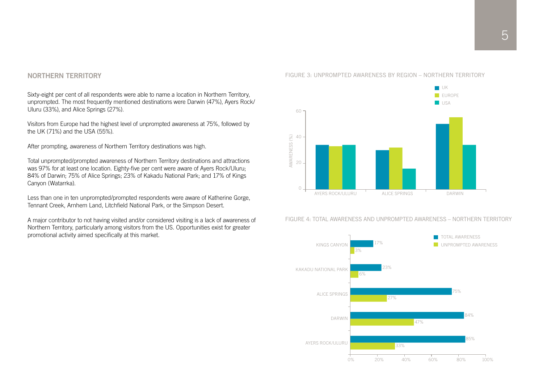## NORTHERN TERRITORY

Sixty-eight per cent of all respondents were able to name a location in Northern Territory, unprompted. The most frequently mentioned destinations were Darwin (47%), Ayers Rock/ Uluru (33%), and Alice Springs (27%).

Visitors from Europe had the highest level of unprompted awareness at 75%, followed by the UK (71%) and the USA (55%).

After prompting, awareness of Northern Territory destinations was high.

Total unprompted/prompted awareness of Northern Territory destinations and attractions was 97% for at least one location. Eighty-five per cent were aware of Ayers Rock/Uluru; 84% of Darwin; 75% of Alice Springs; 23% of Kakadu National Park; and 17% of Kings Canyon (Watarrka).

Less than one in ten unprompted/prompted respondents were aware of Katherine Gorge, Tennant Creek, Arnhem Land, Litchfield National Park, or the Simpson Desert.

A major contributor to not having visited and/or considered visiting is a lack of awareness of Northern Territory, particularly among visitors from the US. Opportunities exist for greater promotional activity aimed specifically at this market.





FIGURE 4: TOTAL AWARENESS AND UNPROMPTED AWARENESS – NORTHERN TERRITORY

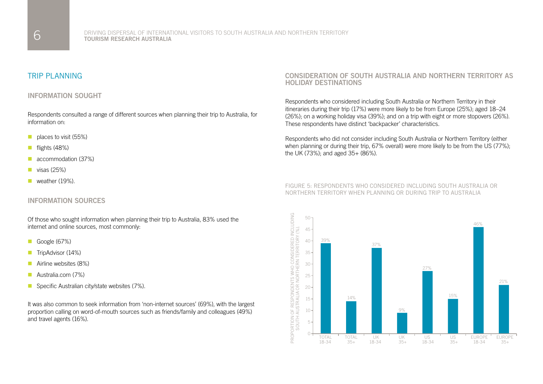## TRIP PLANNING

## INFORMATION SOUGHT

Respondents consulted a range of different sources when planning their trip to Australia, for information on:

- $\blacksquare$  places to visit (55%)
- $\blacksquare$  flights (48%)
- accommodation (37%)
- $\blacksquare$  visas (25%)
- weather  $(19\%)$ .

### INFORMATION SOURCES

Of those who sought information when planning their trip to Australia, 83% used the internet and online sources, most commonly:

- Google  $(67%)$
- TripAdvisor (14%)
- $\blacksquare$  Airline websites (8%)
- **n** Australia.com (7%)
- **n** Specific Australian city/state websites  $(7\%)$ .

It was also common to seek information from 'non-internet sources' (69%), with the largest proportion calling on word-of-mouth sources such as friends/family and colleagues (49%) and travel agents (16%).

### CONSIDERATION OF SOUTH AUSTRALIA AND NORTHERN TERRITORY AS HOLIDAY DESTINATIONS

Respondents who considered including South Australia or Northern Territory in their itineraries during their trip (17%) were more likely to be from Europe (25%); aged 18–24 (26%); on a working holiday visa (39%); and on a trip with eight or more stopovers (26%). These respondents have distinct 'backpacker' characteristics.

Respondents who did not consider including South Australia or Northern Territory (either when planning or during their trip, 67% overall) were more likely to be from the US (77%); the UK (73%); and aged 35+ (86%).

#### FIGURE 5: RESPONDENTS WHO CONSIDERED INCLUDING SOUTH AUSTRALIA OR NORTHERN TERRITORY WHEN PLANNING OR DURING TRIP TO AUSTRALIA

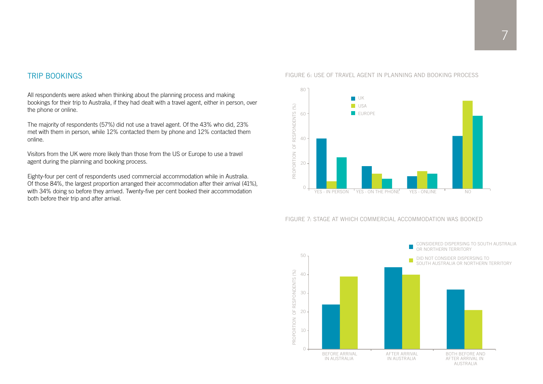# $\overline{\phantom{a}}$

## TRIP BOOKINGS

All respondents were asked when thinking about the planning process and making bookings for their trip to Australia, if they had dealt with a travel agent, either in person, over the phone or online.

The majority of respondents (57%) did not use a travel agent. Of the 43% who did, 23% met with them in person, while 12% contacted them by phone and 12% contacted them online.

Visitors from the UK were more likely than those from the US or Europe to use a travel agent during the planning and booking process.

Eighty-four per cent of respondents used commercial accommodation while in Australia. Of those 84%, the largest proportion arranged their accommodation after their arrival (41%), with 34% doing so before they arrived. Twenty-five per cent booked their accommodation both before their trip and after arrival.

#### FIGURE 6: USE OF TRAVEL AGENT IN PLANNING AND BOOKING PROCESS



#### FIGURE 7: STAGE AT WHICH COMMERCIAL ACCOMMODATION WAS BOOKED

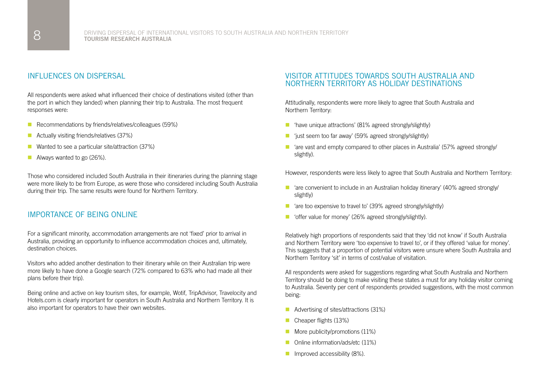## INFLUENCES ON DISPERSAL

All respondents were asked what influenced their choice of destinations visited (other than the port in which they landed) when planning their trip to Australia. The most frequent responses were:

- $\blacksquare$  Recommendations by friends/relatives/colleagues (59%)
- $\blacksquare$  Actually visiting friends/relatives (37%)
- $\blacksquare$  Wanted to see a particular site/attraction (37%)
- Always wanted to go  $(26%)$ .

Those who considered included South Australia in their itineraries during the planning stage were more likely to be from Europe, as were those who considered including South Australia during their trip. The same results were found for Northern Territory.

## IMPORTANCE OF BEING ONLINE

For a significant minority, accommodation arrangements are not 'fixed' prior to arrival in Australia, providing an opportunity to influence accommodation choices and, ultimately, destination choices.

Visitors who added another destination to their itinerary while on their Australian trip were more likely to have done a Google search (72% compared to 63% who had made all their plans before their trip).

Being online and active on key tourism sites, for example, Wotif, TripAdvisor, Travelocity and Hotels.com is clearly important for operators in South Australia and Northern Territory. It is also important for operators to have their own websites.

## VISITOR ATTITUDES TOWARDS SOUTH AUSTRALIA AND NORTHERN TERRITORY AS HOLIDAY DESTINATIONS

Attitudinally, respondents were more likely to agree that South Australia and Northern Territory:

- $\blacksquare$  'have unique attractions' (81% agreed strongly/slightly)
- $\blacksquare$  'just seem too far away' (59% agreed strongly/slightly)
- $\blacksquare$  'are vast and empty compared to other places in Australia' (57% agreed strongly/ slightly).

However, respondents were less likely to agree that South Australia and Northern Territory:

- $\blacksquare$  'are convenient to include in an Australian holiday itinerary' (40% agreed strongly/ slightly)
- $\blacksquare$  'are too expensive to travel to' (39% agreed strongly/slightly)
- 'offer value for money' (26% agreed strongly/slightly).

Relatively high proportions of respondents said that they 'did not know' if South Australia and Northern Territory were 'too expensive to travel to', or if they offered 'value for money'. This suggests that a proportion of potential visitors were unsure where South Australia and Northern Territory 'sit' in terms of cost/value of visitation.

All respondents were asked for suggestions regarding what South Australia and Northern Territory should be doing to make visiting these states a must for any holiday visitor coming to Australia. Seventy per cent of respondents provided suggestions, with the most common being:

- $\blacksquare$  Advertising of sites/attractions (31%)
- $\blacksquare$  Cheaper flights (13%)
- More publicity/promotions (11%)
- n Online information/ads/etc (11%)
- **n** Improved accessibility  $(8\%)$ .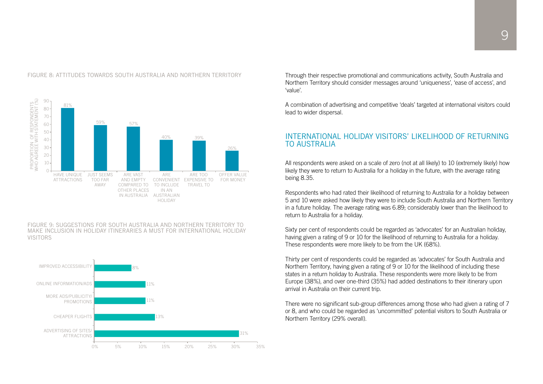

#### FIGURE 8: ATTITUDES TOWARDS SOUTH AUSTRALIA AND NORTHERN TERRITORY

FIGURE 9: SUGGESTIONS FOR SOUTH AUSTRALIA AND NORTHERN TERRITORY TO MAKE INCLUSION IN HOLIDAY ITINERARIES A MUST FOR INTERNATIONAL HOLIDAY VISITORS



Through their respective promotional and communications activity, South Australia and Northern Territory should consider messages around 'uniqueness', 'ease of access', and 'value'.

A combination of advertising and competitive 'deals' targeted at international visitors could lead to wider dispersal.

## INTERNATIONAL HOLIDAY VISITORS' LIKELIHOOD OF RETURNING TO AUSTRALIA

All respondents were asked on a scale of zero (not at all likely) to 10 (extremely likely) how likely they were to return to Australia for a holiday in the future, with the average rating being 8.35.

Respondents who had rated their likelihood of returning to Australia for a holiday between 5 and 10 were asked how likely they were to include South Australia and Northern Territory in a future holiday. The average rating was 6.89; considerably lower than the likelihood to return to Australia for a holiday.

Sixty per cent of respondents could be regarded as 'advocates' for an Australian holiday, having given a rating of 9 or 10 for the likelihood of returning to Australia for a holiday. These respondents were more likely to be from the UK (68%).

Thirty per cent of respondents could be regarded as 'advocates' for South Australia and Northern Territory, having given a rating of 9 or 10 for the likelihood of including these states in a return holiday to Australia. These respondents were more likely to be from Europe (38%), and over one-third (35%) had added destinations to their itinerary upon arrival in Australia on their current trip.

There were no significant sub-group differences among those who had given a rating of 7 or 8, and who could be regarded as 'uncommitted' potential visitors to South Australia or Northern Territory (29% overall).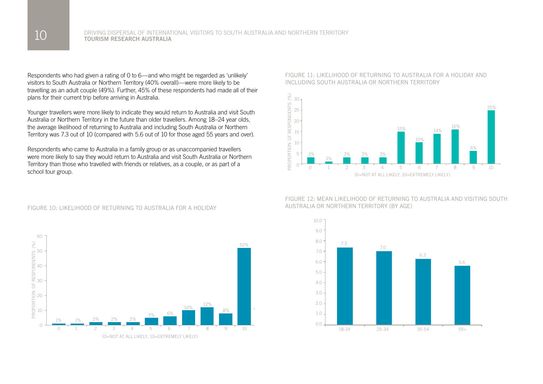Respondents who had given a rating of 0 to 6—and who might be regarded as 'unlikely' visitors to South Australia or Northern Territory (40% overall)—were more likely to be travelling as an adult couple (49%). Further, 45% of these respondents had made all of their plans for their current trip before arriving in Australia.

Younger travellers were more likely to indicate they would return to Australia and visit South Australia or Northern Territory in the future than older travellers. Among 18–24 year olds, the average likelihood of returning to Australia and including South Australia or Northern Territory was 7.3 out of 10 (compared with 5.6 out of 10 for those aged 55 years and over).

Respondents who came to Australia in a family group or as unaccompanied travellers were more likely to say they would return to Australia and visit South Australia or Northern Territory than those who travelled with friends or relatives, as a couple, or as part of a school tour group.



#### FIGURE 10: LIKELIHOOD OF RETURNING TO AUSTRALIA FOR A HOLIDAY

#### FIGURE 11: LIKELIHOOD OF RETURNING TO AUSTRALIA FOR A HOLIDAY AND INCLUDING SOUTH AUSTRALIA OR NORTHERN TERRITORY



FIGURE 12: MEAN LIKELIHOOD OF RETURNING TO AUSTRALIA AND VISITING SOUTH AUSTRALIA OR NORTHERN TERRITORY (BY AGE)

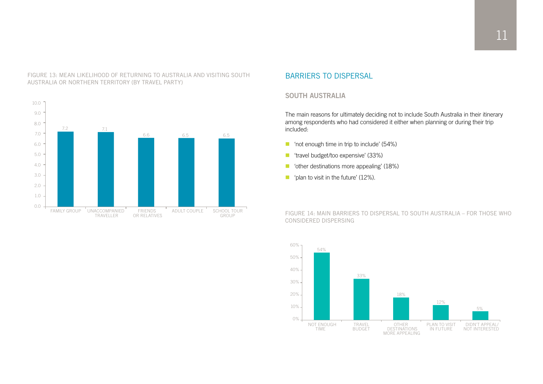

#### FIGURE 13: MEAN LIKELIHOOD OF RETURNING TO AUSTRALIA AND VISITING SOUTH AUSTRALIA OR NORTHERN TERRITORY (BY TRAVEL PARTY)

## BARRIERS TO DISPERSAL

## SOUTH AUSTRALIA

The main reasons for ultimately deciding not to include South Australia in their itinerary among respondents who had considered it either when planning or during their trip included:

- $\blacksquare$  'not enough time in trip to include' (54%)
- 'travel budget/too expensive' (33%)
- $\blacksquare$  'other destinations more appealing' (18%)
- plan to visit in the future'  $(12\%)$ .

FIGURE 14: MAIN BARRIERS TO DISPERSAL TO SOUTH AUSTRALIA – FOR THOSE WHO CONSIDERED DISPERSING